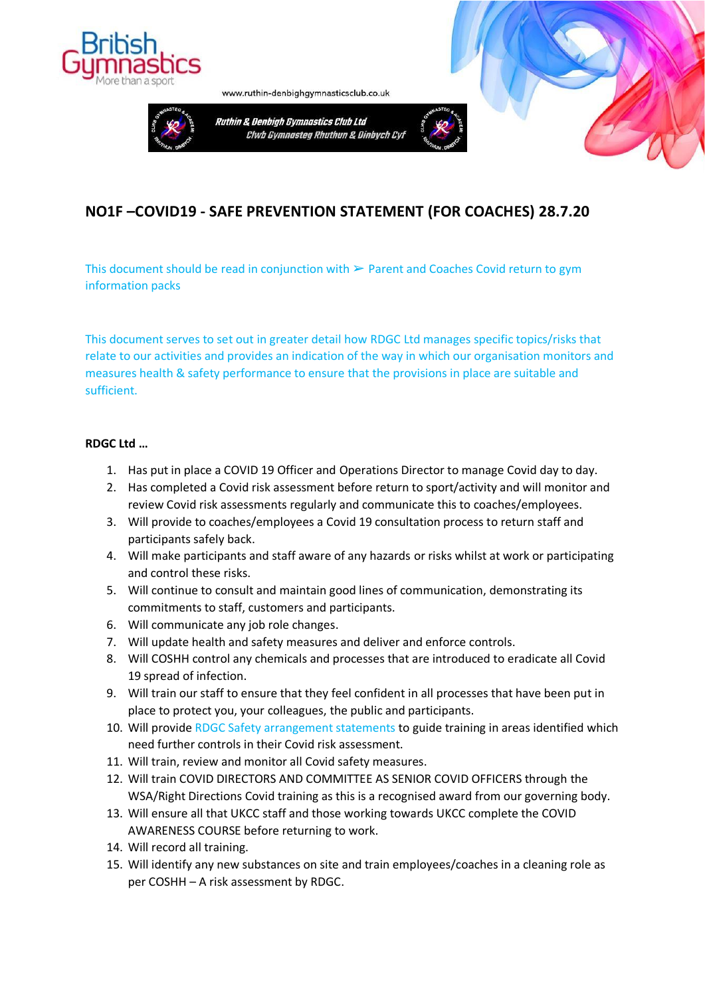

www.ruthin-denbighgymnasticsclub.co.uk



# **NO1F –COVID19 - SAFE PREVENTION STATEMENT (FOR COACHES) 28.7.20**

This document should be read in conjunction with  $\triangleright$  Parent and Coaches Covid return to gym information packs

This document serves to set out in greater detail how RDGC Ltd manages specific topics/risks that relate to our activities and provides an indication of the way in which our organisation monitors and measures health & safety performance to ensure that the provisions in place are suitable and sufficient.

### **RDGC Ltd …**

- 1. Has put in place a COVID 19 Officer and Operations Director to manage Covid day to day.
- 2. Has completed a Covid risk assessment before return to sport/activity and will monitor and review Covid risk assessments regularly and communicate this to coaches/employees.
- 3. Will provide to coaches/employees a Covid 19 consultation process to return staff and participants safely back.
- 4. Will make participants and staff aware of any hazards or risks whilst at work or participating and control these risks.
- 5. Will continue to consult and maintain good lines of communication, demonstrating its commitments to staff, customers and participants.
- 6. Will communicate any job role changes.
- 7. Will update health and safety measures and deliver and enforce controls.
- 8. Will COSHH control any chemicals and processes that are introduced to eradicate all Covid 19 spread of infection.
- 9. Will train our staff to ensure that they feel confident in all processes that have been put in place to protect you, your colleagues, the public and participants.
- 10. Will provide RDGC Safety arrangement statements to guide training in areas identified which need further controls in their Covid risk assessment.
- 11. Will train, review and monitor all Covid safety measures.
- 12. Will train COVID DIRECTORS AND COMMITTEE AS SENIOR COVID OFFICERS through the WSA/Right Directions Covid training as this is a recognised award from our governing body.
- 13. Will ensure all that UKCC staff and those working towards UKCC complete the COVID AWARENESS COURSE before returning to work.
- 14. Will record all training.
- 15. Will identify any new substances on site and train employees/coaches in a cleaning role as per COSHH – A risk assessment by RDGC.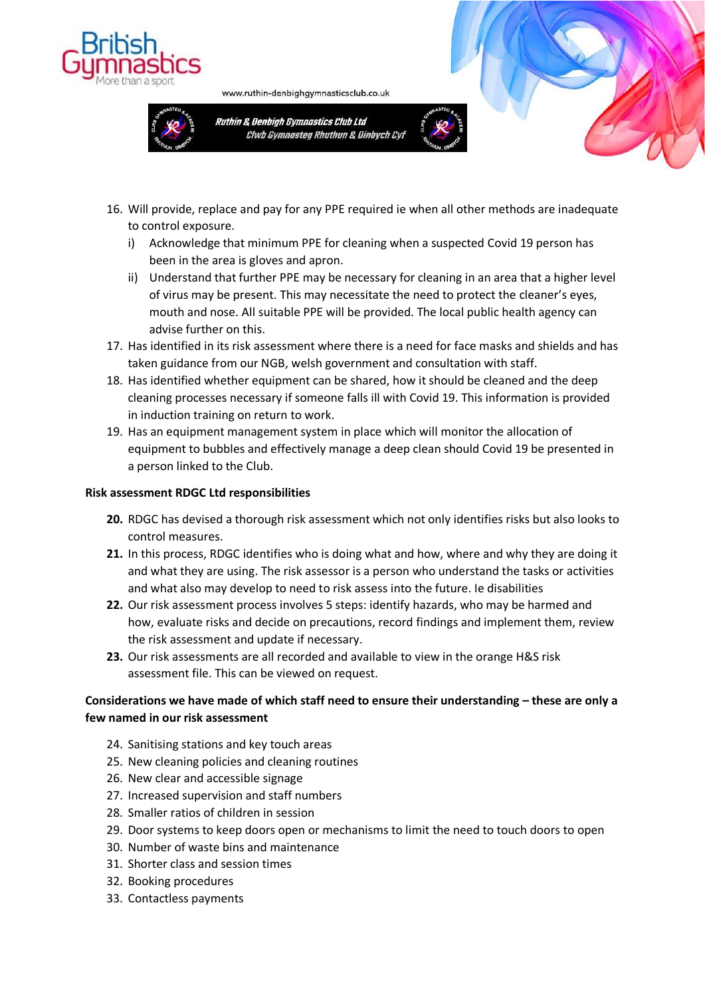



www.ruthin-denbighgymnasticsclub.co.uk





- i) Acknowledge that minimum PPE for cleaning when a suspected Covid 19 person has been in the area is gloves and apron.
- ii) Understand that further PPE may be necessary for cleaning in an area that a higher level of virus may be present. This may necessitate the need to protect the cleaner's eyes, mouth and nose. All suitable PPE will be provided. The local public health agency can advise further on this.
- 17. Has identified in its risk assessment where there is a need for face masks and shields and has taken guidance from our NGB, welsh government and consultation with staff.
- 18. Has identified whether equipment can be shared, how it should be cleaned and the deep cleaning processes necessary if someone falls ill with Covid 19. This information is provided in induction training on return to work.
- 19. Has an equipment management system in place which will monitor the allocation of equipment to bubbles and effectively manage a deep clean should Covid 19 be presented in a person linked to the Club.

### **Risk assessment RDGC Ltd responsibilities**

- **20.** RDGC has devised a thorough risk assessment which not only identifies risks but also looks to control measures.
- **21.** In this process, RDGC identifies who is doing what and how, where and why they are doing it and what they are using. The risk assessor is a person who understand the tasks or activities and what also may develop to need to risk assess into the future. Ie disabilities
- **22.** Our risk assessment process involves 5 steps: identify hazards, who may be harmed and how, evaluate risks and decide on precautions, record findings and implement them, review the risk assessment and update if necessary.
- **23.** Our risk assessments are all recorded and available to view in the orange H&S risk assessment file. This can be viewed on request.

# **Considerations we have made of which staff need to ensure their understanding – these are only a few named in our risk assessment**

- 24. Sanitising stations and key touch areas
- 25. New cleaning policies and cleaning routines
- 26. New clear and accessible signage
- 27. Increased supervision and staff numbers
- 28. Smaller ratios of children in session
- 29. Door systems to keep doors open or mechanisms to limit the need to touch doors to open
- 30. Number of waste bins and maintenance
- 31. Shorter class and session times
- 32. Booking procedures
- 33. Contactless payments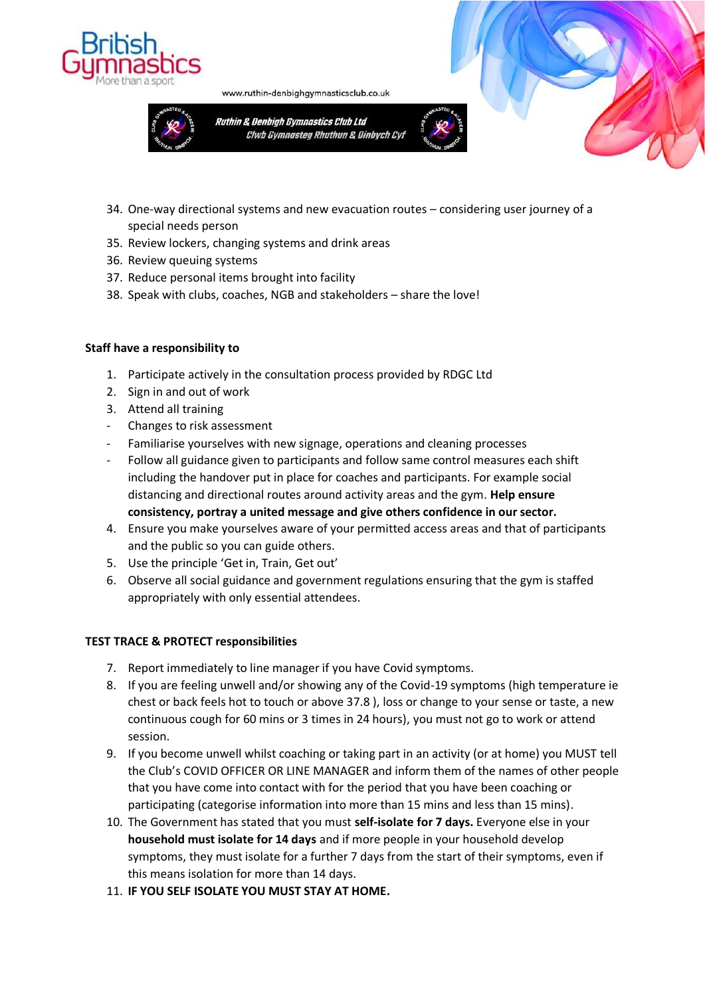



www.ruthin-denbighgymnasticsclub.co.uk





- 35. Review lockers, changing systems and drink areas
- 36. Review queuing systems
- 37. Reduce personal items brought into facility
- 38. Speak with clubs, coaches, NGB and stakeholders share the love!

### **Staff have a responsibility to**

- 1. Participate actively in the consultation process provided by RDGC Ltd
- 2. Sign in and out of work
- 3. Attend all training
- Changes to risk assessment
- Familiarise yourselves with new signage, operations and cleaning processes
- Follow all guidance given to participants and follow same control measures each shift including the handover put in place for coaches and participants. For example social distancing and directional routes around activity areas and the gym. **Help ensure consistency, portray a united message and give others confidence in our sector.**
- 4. Ensure you make yourselves aware of your permitted access areas and that of participants and the public so you can guide others.
- 5. Use the principle 'Get in, Train, Get out'
- 6. Observe all social guidance and government regulations ensuring that the gym is staffed appropriately with only essential attendees.

### **TEST TRACE & PROTECT responsibilities**

- 7. Report immediately to line manager if you have Covid symptoms.
- 8. If you are feeling unwell and/or showing any of the Covid-19 symptoms (high temperature ie chest or back feels hot to touch or above 37.8 ), loss or change to your sense or taste, a new continuous cough for 60 mins or 3 times in 24 hours), you must not go to work or attend session.
- 9. If you become unwell whilst coaching or taking part in an activity (or at home) you MUST tell the Club's COVID OFFICER OR LINE MANAGER and inform them of the names of other people that you have come into contact with for the period that you have been coaching or participating (categorise information into more than 15 mins and less than 15 mins).
- 10. The Government has stated that you must **self-isolate for 7 days.** Everyone else in your **household must isolate for 14 days** and if more people in your household develop symptoms, they must isolate for a further 7 days from the start of their symptoms, even if this means isolation for more than 14 days.
- 11. **IF YOU SELF ISOLATE YOU MUST STAY AT HOME.**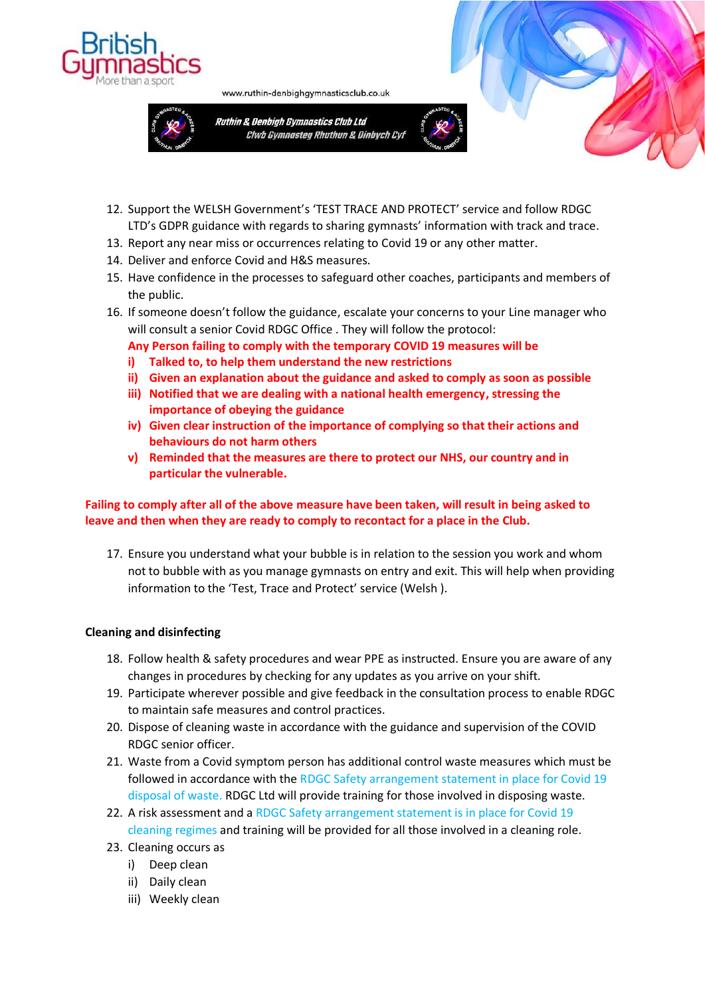



www.ruthin-denbighgymnasticsclub.co.uk



- 
- 12. Support the WELSH Government's 'TEST TRACE AND PROTECT' service and follow RDGC LTD's GDPR guidance with regards to sharing gymnasts' information with track and trace.
- 13. Report any near miss or occurrences relating to Covid 19 or any other matter.
- 14. Deliver and enforce Covid and H&S measures.
- 15. Have confidence in the processes to safeguard other coaches, participants and members of the public.
- 16. If someone doesn't follow the guidance, escalate your concerns to your Line manager who will consult a senior Covid RDGC Office . They will follow the protocol:

# **Any Person failing to comply with the temporary COVID 19 measures will be**

- **i) Talked to, to help them understand the new restrictions**
- **ii) Given an explanation about the guidance and asked to comply as soon as possible**
- **iii) Notified that we are dealing with a national health emergency, stressing the importance of obeying the guidance**
- **iv) Given clear instruction of the importance of complying so that their actions and behaviours do not harm others**
- **v) Reminded that the measures are there to protect our NHS, our country and in particular the vulnerable.**

# **Failing to comply after all of the above measure have been taken, will result in being asked to leave and then when they are ready to comply to recontact for a place in the Club.**

17. Ensure you understand what your bubble is in relation to the session you work and whom not to bubble with as you manage gymnasts on entry and exit. This will help when providing information to the 'Test, Trace and Protect' service (Welsh ).

# **Cleaning and disinfecting**

- 18. Follow health & safety procedures and wear PPE as instructed. Ensure you are aware of any changes in procedures by checking for any updates as you arrive on your shift.
- 19. Participate wherever possible and give feedback in the consultation process to enable RDGC to maintain safe measures and control practices.
- 20. Dispose of cleaning waste in accordance with the guidance and supervision of the COVID RDGC senior officer.
- 21. Waste from a Covid symptom person has additional control waste measures which must be followed in accordance with the RDGC Safety arrangement statement in place for Covid 19 disposal of waste. RDGC Ltd will provide training for those involved in disposing waste.
- 22. A risk assessment and a RDGC Safety arrangement statement is in place for Covid 19 cleaning regimes and training will be provided for all those involved in a cleaning role.
- 23. Cleaning occurs as
	- i) Deep clean
	- ii) Daily clean
	- iii) Weekly clean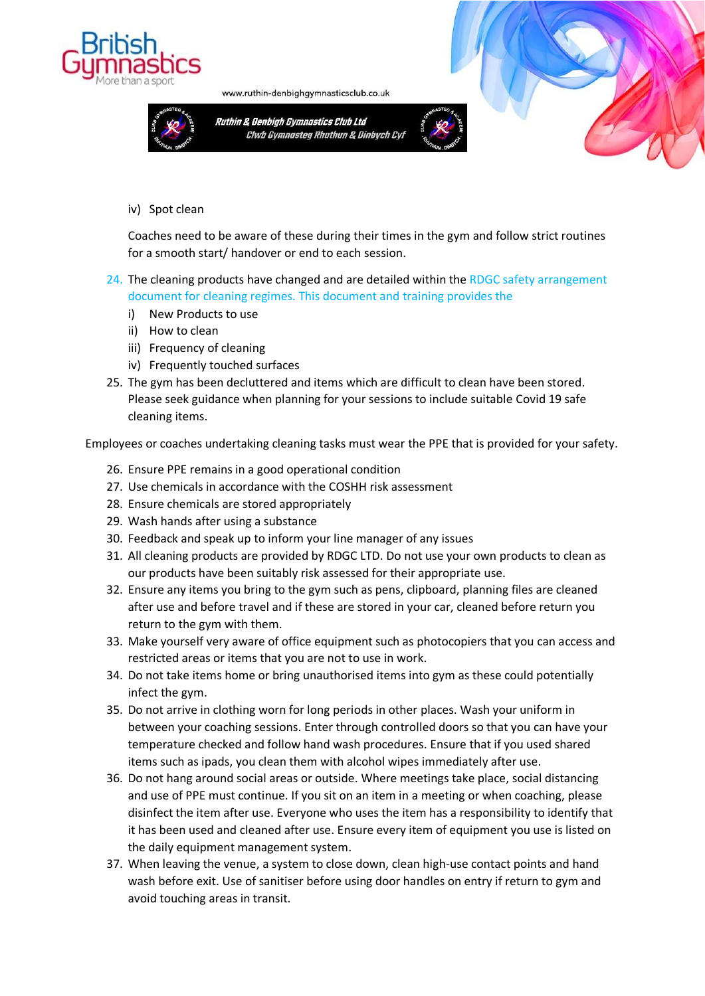

www.ruthin-denbighgymnasticsclub.co.uk



#### iv) Spot clean

Coaches need to be aware of these during their times in the gym and follow strict routines for a smooth start/ handover or end to each session.

### 24. The cleaning products have changed and are detailed within the RDGC safety arrangement document for cleaning regimes. This document and training provides the

- i) New Products to use
- ii) How to clean
- iii) Frequency of cleaning
- iv) Frequently touched surfaces
- 25. The gym has been decluttered and items which are difficult to clean have been stored. Please seek guidance when planning for your sessions to include suitable Covid 19 safe cleaning items.

Employees or coaches undertaking cleaning tasks must wear the PPE that is provided for your safety.

- 26. Ensure PPE remains in a good operational condition
- 27. Use chemicals in accordance with the COSHH risk assessment
- 28. Ensure chemicals are stored appropriately
- 29. Wash hands after using a substance
- 30. Feedback and speak up to inform your line manager of any issues
- 31. All cleaning products are provided by RDGC LTD. Do not use your own products to clean as our products have been suitably risk assessed for their appropriate use.
- 32. Ensure any items you bring to the gym such as pens, clipboard, planning files are cleaned after use and before travel and if these are stored in your car, cleaned before return you return to the gym with them.
- 33. Make yourself very aware of office equipment such as photocopiers that you can access and restricted areas or items that you are not to use in work.
- 34. Do not take items home or bring unauthorised items into gym as these could potentially infect the gym.
- 35. Do not arrive in clothing worn for long periods in other places. Wash your uniform in between your coaching sessions. Enter through controlled doors so that you can have your temperature checked and follow hand wash procedures. Ensure that if you used shared items such as ipads, you clean them with alcohol wipes immediately after use.
- 36. Do not hang around social areas or outside. Where meetings take place, social distancing and use of PPE must continue. If you sit on an item in a meeting or when coaching, please disinfect the item after use. Everyone who uses the item has a responsibility to identify that it has been used and cleaned after use. Ensure every item of equipment you use is listed on the daily equipment management system.
- 37. When leaving the venue, a system to close down, clean high-use contact points and hand wash before exit. Use of sanitiser before using door handles on entry if return to gym and avoid touching areas in transit.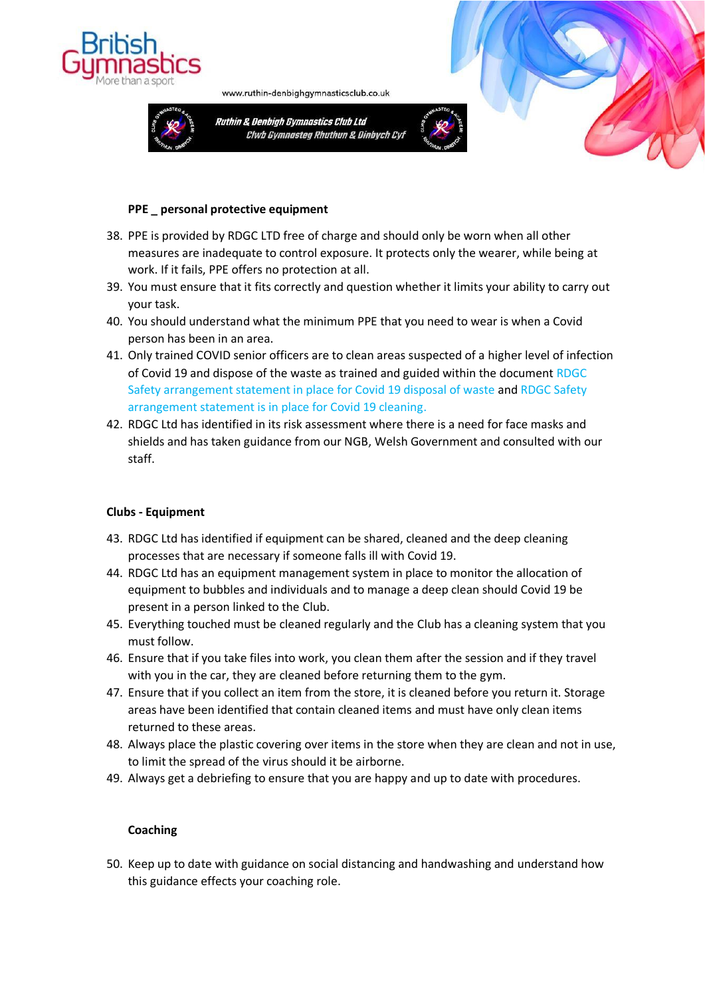



www.ruthin-denbighgymnasticsclub.co.uk



### **PPE \_ personal protective equipment**

- 38. PPE is provided by RDGC LTD free of charge and should only be worn when all other measures are inadequate to control exposure. It protects only the wearer, while being at work. If it fails, PPE offers no protection at all.
- 39. You must ensure that it fits correctly and question whether it limits your ability to carry out your task.
- 40. You should understand what the minimum PPE that you need to wear is when a Covid person has been in an area.
- 41. Only trained COVID senior officers are to clean areas suspected of a higher level of infection of Covid 19 and dispose of the waste as trained and guided within the document RDGC Safety arrangement statement in place for Covid 19 disposal of waste and RDGC Safety arrangement statement is in place for Covid 19 cleaning.
- 42. RDGC Ltd has identified in its risk assessment where there is a need for face masks and shields and has taken guidance from our NGB, Welsh Government and consulted with our staff.

### **Clubs - Equipment**

- 43. RDGC Ltd has identified if equipment can be shared, cleaned and the deep cleaning processes that are necessary if someone falls ill with Covid 19.
- 44. RDGC Ltd has an equipment management system in place to monitor the allocation of equipment to bubbles and individuals and to manage a deep clean should Covid 19 be present in a person linked to the Club.
- 45. Everything touched must be cleaned regularly and the Club has a cleaning system that you must follow.
- 46. Ensure that if you take files into work, you clean them after the session and if they travel with you in the car, they are cleaned before returning them to the gym.
- 47. Ensure that if you collect an item from the store, it is cleaned before you return it. Storage areas have been identified that contain cleaned items and must have only clean items returned to these areas.
- 48. Always place the plastic covering over items in the store when they are clean and not in use, to limit the spread of the virus should it be airborne.
- 49. Always get a debriefing to ensure that you are happy and up to date with procedures.

### **Coaching**

50. Keep up to date with guidance on social distancing and handwashing and understand how this guidance effects your coaching role.